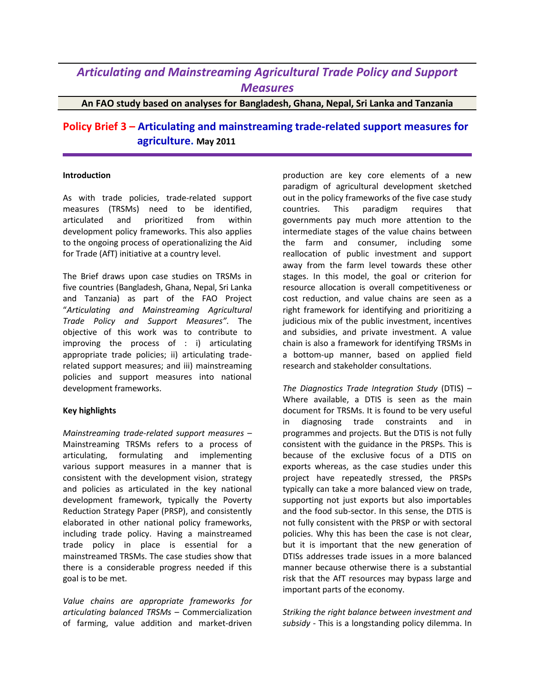## *Articulating and Mainstreaming Agricultural Trade Policy and Support Measures*

**An FAO study based on analyses for Bangladesh, Ghana, Nepal, Sri Lanka and Tanzania**

## **Policy Brief 3 – Articulating and mainstreaming trade-related support measures for agriculture. May 2011**

## **Introduction**

As with trade policies, trade-related support measures (TRSMs) need to be identified, articulated and prioritized from within development policy frameworks. This also applies to the ongoing process of operationalizing the Aid for Trade (AfT) initiative at a country level.

The Brief draws upon case studies on TRSMs in five countries (Bangladesh, Ghana, Nepal, Sri Lanka and Tanzania) as part of the FAO Project "*Articulating and Mainstreaming Agricultural Trade Policy and Support Measures"*. The objective of this work was to contribute to improving the process of : i) articulating appropriate trade policies; ii) articulating traderelated support measures; and iii) mainstreaming policies and support measures into national development frameworks.

## **Key highlights**

*Mainstreaming trade-related support measures* – Mainstreaming TRSMs refers to a process of articulating, formulating and implementing various support measures in a manner that is consistent with the development vision, strategy and policies as articulated in the key national development framework, typically the Poverty Reduction Strategy Paper (PRSP), and consistently elaborated in other national policy frameworks, including trade policy. Having a mainstreamed trade policy in place is essential for a mainstreamed TRSMs. The case studies show that there is a considerable progress needed if this goal is to be met.

*Value chains are appropriate frameworks for articulating balanced TRSMs* – Commercialization of farming, value addition and market-driven

production are key core elements of a new paradigm of agricultural development sketched out in the policy frameworks of the five case study countries. This paradigm requires that governments pay much more attention to the intermediate stages of the value chains between the farm and consumer, including some reallocation of public investment and support away from the farm level towards these other stages. In this model, the goal or criterion for resource allocation is overall competitiveness or cost reduction, and value chains are seen as a right framework for identifying and prioritizing a judicious mix of the public investment, incentives and subsidies, and private investment. A value chain is also a framework for identifying TRSMs in a bottom-up manner, based on applied field research and stakeholder consultations.

*The Diagnostics Trade Integration Study* (DTIS) – Where available, a DTIS is seen as the main document for TRSMs. It is found to be very useful in diagnosing trade constraints and in programmes and projects. But the DTIS is not fully consistent with the guidance in the PRSPs. This is because of the exclusive focus of a DTIS on exports whereas, as the case studies under this project have repeatedly stressed, the PRSPs typically can take a more balanced view on trade, supporting not just exports but also importables and the food sub-sector. In this sense, the DTIS is not fully consistent with the PRSP or with sectoral policies. Why this has been the case is not clear, but it is important that the new generation of DTISs addresses trade issues in a more balanced manner because otherwise there is a substantial risk that the AfT resources may bypass large and important parts of the economy.

*Striking the right balance between investment and subsidy* - This is a longstanding policy dilemma. In